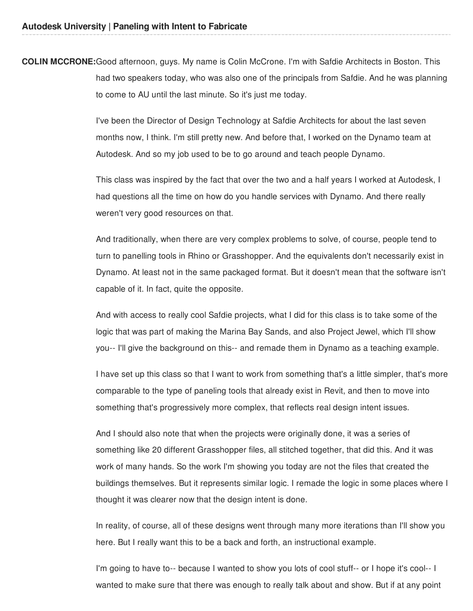**COLIN MCCRONE:**Good afternoon, guys. My name is Colin McCrone. I'm with Safdie Architects in Boston. This had two speakers today, who was also one of the principals from Safdie. And he was planning to come to AU until the last minute. So it's just me today.

> I've been the Director of Design Technology at Safdie Architects for about the last seven months now, I think. I'm still pretty new. And before that, I worked on the Dynamo team at Autodesk. And so my job used to be to go around and teach people Dynamo.

This class was inspired by the fact that over the two and a half years I worked at Autodesk, I had questions all the time on how do you handle services with Dynamo. And there really weren't very good resources on that.

And traditionally, when there are very complex problems to solve, of course, people tend to turn to panelling tools in Rhino or Grasshopper. And the equivalents don't necessarily exist in Dynamo. At least not in the same packaged format. But it doesn't mean that the software isn't capable of it. In fact, quite the opposite.

And with access to really cool Safdie projects, what I did for this class is to take some of the logic that was part of making the Marina Bay Sands, and also Project Jewel, which I'll show you-- I'll give the background on this-- and remade them in Dynamo as a teaching example.

I have set up this class so that I want to work from something that's a little simpler, that's more comparable to the type of paneling tools that already exist in Revit, and then to move into something that's progressively more complex, that reflects real design intent issues.

And I should also note that when the projects were originally done, it was a series of something like 20 different Grasshopper files, all stitched together, that did this. And it was work of many hands. So the work I'm showing you today are not the files that created the buildings themselves. But it represents similar logic. I remade the logic in some places where I thought it was clearer now that the design intent is done.

In reality, of course, all of these designs went through many more iterations than I'll show you here. But I really want this to be a back and forth, an instructional example.

I'm going to have to-- because I wanted to show you lots of cool stuff-- or I hope it's cool-- I wanted to make sure that there was enough to really talk about and show. But if at any point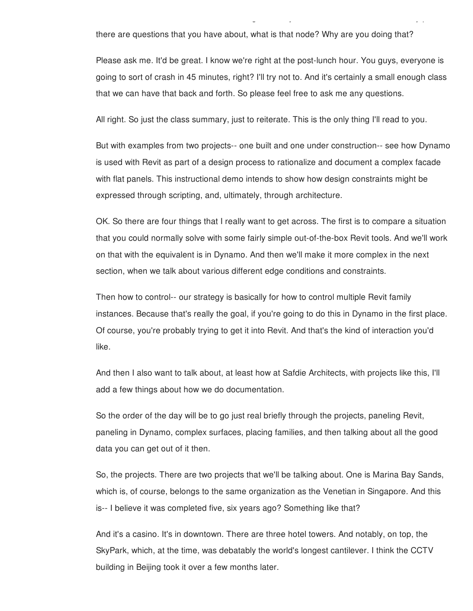there are questions that you have about, what is that node? Why are you doing that?

Please ask me. It'd be great. I know we're right at the post-lunch hour. You guys, everyone is going to sort of crash in 45 minutes, right? I'll try not to. And it's certainly a small enough class that we can have that back and forth. So please feel free to ask me any questions.

was that there was enough to make sure that there was enough to really talk about and show. But if at any point

All right. So just the class summary, just to reiterate. This is the only thing I'll read to you.

But with examples from two projects-- one built and one under construction-- see how Dynamo is used with Revit as part of a design process to rationalize and document a complex facade with flat panels. This instructional demo intends to show how design constraints might be expressed through scripting, and, ultimately, through architecture.

OK. So there are four things that I really want to get across. The first is to compare a situation that you could normally solve with some fairly simple out-of-the-box Revit tools. And we'll work on that with the equivalent is in Dynamo. And then we'll make it more complex in the next section, when we talk about various different edge conditions and constraints.

Then how to control-- our strategy is basically for how to control multiple Revit family instances. Because that's really the goal, if you're going to do this in Dynamo in the first place. Of course, you're probably trying to get it into Revit. And that's the kind of interaction you'd like.

And then I also want to talk about, at least how at Safdie Architects, with projects like this, I'll add a few things about how we do documentation.

So the order of the day will be to go just real briefly through the projects, paneling Revit, paneling in Dynamo, complex surfaces, placing families, and then talking about all the good data you can get out of it then.

So, the projects. There are two projects that we'll be talking about. One is Marina Bay Sands, which is, of course, belongs to the same organization as the Venetian in Singapore. And this is-- I believe it was completed five, six years ago? Something like that?

And it's a casino. It's in downtown. There are three hotel towers. And notably, on top, the SkyPark, which, at the time, was debatably the world's longest cantilever. I think the CCTV building in Beijing took it over a few months later.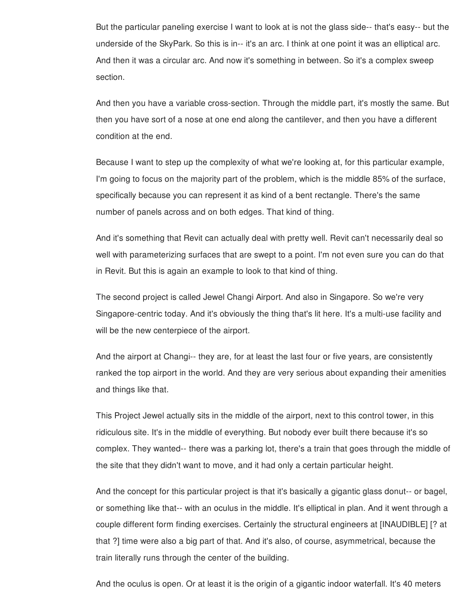But the particular paneling exercise I want to look at is not the glass side-- that's easy-- but the underside of the SkyPark. So this is in-- it's an arc. I think at one point it was an elliptical arc. And then it was a circular arc. And now it's something in between. So it's a complex sweep section.

And then you have a variable cross-section. Through the middle part, it's mostly the same. But then you have sort of a nose at one end along the cantilever, and then you have a different condition at the end.

Because I want to step up the complexity of what we're looking at, for this particular example, I'm going to focus on the majority part of the problem, which is the middle 85% of the surface, specifically because you can represent it as kind of a bent rectangle. There's the same number of panels across and on both edges. That kind of thing.

And it's something that Revit can actually deal with pretty well. Revit can't necessarily deal so well with parameterizing surfaces that are swept to a point. I'm not even sure you can do that in Revit. But this is again an example to look to that kind of thing.

The second project is called Jewel Changi Airport. And also in Singapore. So we're very Singapore-centric today. And it's obviously the thing that's lit here. It's a multi-use facility and will be the new centerpiece of the airport.

And the airport at Changi-- they are, for at least the last four or five years, are consistently ranked the top airport in the world. And they are very serious about expanding their amenities and things like that.

This Project Jewel actually sits in the middle of the airport, next to this control tower, in this ridiculous site. It's in the middle of everything. But nobody ever built there because it's so complex. They wanted-- there was a parking lot, there's a train that goes through the middle of the site that they didn't want to move, and it had only a certain particular height.

And the concept for this particular project is that it's basically a gigantic glass donut-- or bagel, or something like that-- with an oculus in the middle. It's elliptical in plan. And it went through a couple different form finding exercises. Certainly the structural engineers at [INAUDIBLE] [? at that ?] time were also a big part of that. And it's also, of course, asymmetrical, because the train literally runs through the center of the building.

And the oculus is open. Or at least it is the origin of a gigantic indoor waterfall. It's 40 meters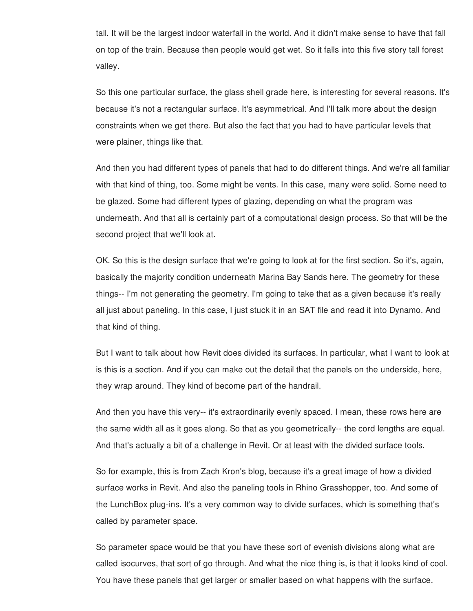tall. It will be the largest indoor waterfall in the world. And it didn't make sense to have that fall on top of the train. Because then people would get wet. So it falls into this five story tall forest valley.

So this one particular surface, the glass shell grade here, is interesting for several reasons. It's because it's not a rectangular surface. It's asymmetrical. And I'll talk more about the design constraints when we get there. But also the fact that you had to have particular levels that were plainer, things like that.

And then you had different types of panels that had to do different things. And we're all familiar with that kind of thing, too. Some might be vents. In this case, many were solid. Some need to be glazed. Some had different types of glazing, depending on what the program was underneath. And that all is certainly part of a computational design process. So that will be the second project that we'll look at.

OK. So this is the design surface that we're going to look at for the first section. So it's, again, basically the majority condition underneath Marina Bay Sands here. The geometry for these things-- I'm not generating the geometry. I'm going to take that as a given because it's really all just about paneling. In this case, I just stuck it in an SAT file and read it into Dynamo. And that kind of thing.

But I want to talk about how Revit does divided its surfaces. In particular, what I want to look at is this is a section. And if you can make out the detail that the panels on the underside, here, they wrap around. They kind of become part of the handrail.

And then you have this very-- it's extraordinarily evenly spaced. I mean, these rows here are the same width all as it goes along. So that as you geometrically-- the cord lengths are equal. And that's actually a bit of a challenge in Revit. Or at least with the divided surface tools.

So for example, this is from Zach Kron's blog, because it's a great image of how a divided surface works in Revit. And also the paneling tools in Rhino Grasshopper, too. And some of the LunchBox plug-ins. It's a very common way to divide surfaces, which is something that's called by parameter space.

So parameter space would be that you have these sort of evenish divisions along what are called isocurves, that sort of go through. And what the nice thing is, is that it looks kind of cool. You have these panels that get larger or smaller based on what happens with the surface.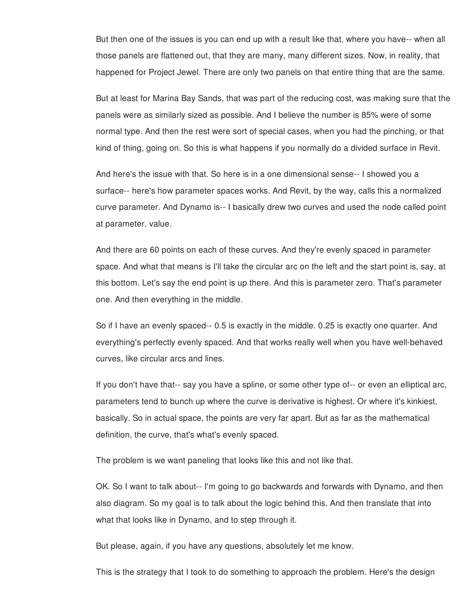But then one of the issues is you can end up with a result like that, where you have-- when all those panels are flattened out, that they are many, many different sizes. Now, in reality, that happened for Project Jewel. There are only two panels on that entire thing that are the same.

But at least for Marina Bay Sands, that was part of the reducing cost, was making sure that the panels were as similarly sized as possible. And I believe the number is 85% were of some normal type. And then the rest were sort of special cases, when you had the pinching, or that kind of thing, going on. So this is what happens if you normally do a divided surface in Revit.

And here's the issue with that. So here is in a one dimensional sense-- I showed you a surface-- here's how parameter spaces works. And Revit, by the way, calls this a normalized curve parameter. And Dynamo is-- I basically drew two curves and used the node called point at parameter. value.

And there are 60 points on each of these curves. And they're evenly spaced in parameter space. And what that means is I'll take the circular arc on the left and the start point is, say, at this bottom. Let's say the end point is up there. And this is parameter zero. That's parameter one. And then everything in the middle.

So if I have an evenly spaced-- 0.5 is exactly in the middle. 0.25 is exactly one quarter. And everything's perfectly evenly spaced. And that works really well when you have well-behaved curves, like circular arcs and lines.

If you don't have that-- say you have a spline, or some other type of-- or even an elliptical arc, parameters tend to bunch up where the curve is derivative is highest. Or where it's kinkiest, basically. So in actual space, the points are very far apart. But as far as the mathematical definition, the curve, that's what's evenly spaced.

The problem is we want paneling that looks like this and not like that.

OK. So I want to talk about-- I'm going to go backwards and forwards with Dynamo, and then also diagram. So my goal is to talk about the logic behind this. And then translate that into what that looks like in Dynamo, and to step through it.

But please, again, if you have any questions, absolutely let me know.

This is the strategy that I took to do something to approach the problem. Here's the design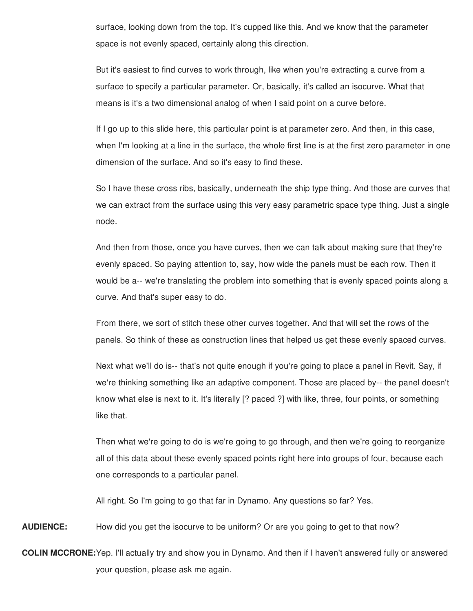surface, looking down from the top. It's cupped like this. And we know that the parameter space is not evenly spaced, certainly along this direction.

But it's easiest to find curves to work through, like when you're extracting a curve from a surface to specify a particular parameter. Or, basically, it's called an isocurve. What that means is it's a two dimensional analog of when I said point on a curve before.

If I go up to this slide here, this particular point is at parameter zero. And then, in this case, when I'm looking at a line in the surface, the whole first line is at the first zero parameter in one dimension of the surface. And so it's easy to find these.

So I have these cross ribs, basically, underneath the ship type thing. And those are curves that we can extract from the surface using this very easy parametric space type thing. Just a single node.

And then from those, once you have curves, then we can talk about making sure that they're evenly spaced. So paying attention to, say, how wide the panels must be each row. Then it would be a-- we're translating the problem into something that is evenly spaced points along a curve. And that's super easy to do.

From there, we sort of stitch these other curves together. And that will set the rows of the panels. So think of these as construction lines that helped us get these evenly spaced curves.

Next what we'll do is-- that's not quite enough if you're going to place a panel in Revit. Say, if we're thinking something like an adaptive component. Those are placed by-- the panel doesn't know what else is next to it. It's literally [? paced ?] with like, three, four points, or something like that.

Then what we're going to do is we're going to go through, and then we're going to reorganize all of this data about these evenly spaced points right here into groups of four, because each one corresponds to a particular panel.

All right. So I'm going to go that far in Dynamo. Any questions so far? Yes.

**AUDIENCE:** How did you get the isocurve to be uniform? Or are you going to get to that now?

**COLIN MCCRONE:**Yep. I'll actually try and show you in Dynamo. And then if I haven't answered fully or answered your question, please ask me again.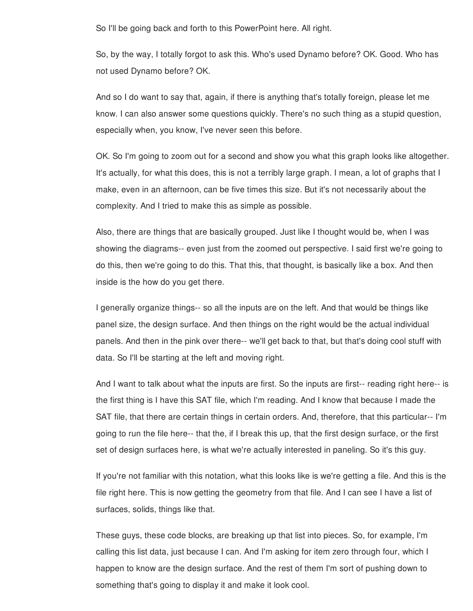So I'll be going back and forth to this PowerPoint here. All right.

So, by the way, I totally forgot to ask this. Who's used Dynamo before? OK. Good. Who has not used Dynamo before? OK.

And so I do want to say that, again, if there is anything that's totally foreign, please let me know. I can also answer some questions quickly. There's no such thing as a stupid question, especially when, you know, I've never seen this before.

OK. So I'm going to zoom out for a second and show you what this graph looks like altogether. It's actually, for what this does, this is not a terribly large graph. I mean, a lot of graphs that I make, even in an afternoon, can be five times this size. But it's not necessarily about the complexity. And I tried to make this as simple as possible.

Also, there are things that are basically grouped. Just like I thought would be, when I was showing the diagrams-- even just from the zoomed out perspective. I said first we're going to do this, then we're going to do this. That this, that thought, is basically like a box. And then inside is the how do you get there.

I generally organize things-- so all the inputs are on the left. And that would be things like panel size, the design surface. And then things on the right would be the actual individual panels. And then in the pink over there-- we'll get back to that, but that's doing cool stuff with data. So I'll be starting at the left and moving right.

And I want to talk about what the inputs are first. So the inputs are first-- reading right here-- is the first thing is I have this SAT file, which I'm reading. And I know that because I made the SAT file, that there are certain things in certain orders. And, therefore, that this particular-- I'm going to run the file here-- that the, if I break this up, that the first design surface, or the first set of design surfaces here, is what we're actually interested in paneling. So it's this guy.

If you're not familiar with this notation, what this looks like is we're getting a file. And this is the file right here. This is now getting the geometry from that file. And I can see I have a list of surfaces, solids, things like that.

These guys, these code blocks, are breaking up that list into pieces. So, for example, I'm calling this list data, just because I can. And I'm asking for item zero through four, which I happen to know are the design surface. And the rest of them I'm sort of pushing down to something that's going to display it and make it look cool.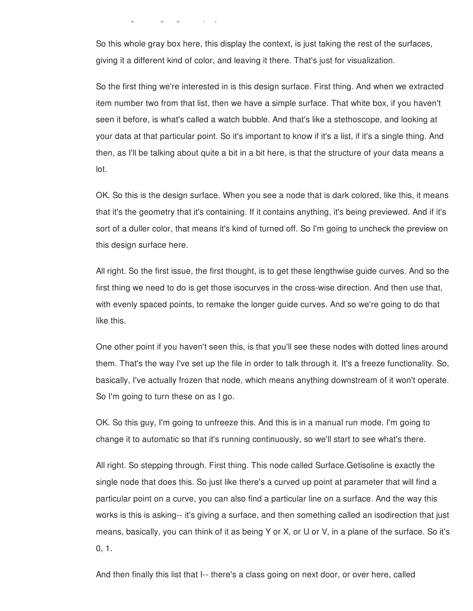something that's going to display it and make it look cool.

So this whole gray box here, this display the context, is just taking the rest of the surfaces, giving it a different kind of color, and leaving it there. That's just for visualization.

So the first thing we're interested in is this design surface. First thing. And when we extracted item number two from that list, then we have a simple surface. That white box, if you haven't seen it before, is what's called a watch bubble. And that's like a stethoscope, and looking at your data at that particular point. So it's important to know if it's a list, if it's a single thing. And then, as I'll be talking about quite a bit in a bit here, is that the structure of your data means a lot.

OK. So this is the design surface. When you see a node that is dark colored, like this, it means that it's the geometry that it's containing. If it contains anything, it's being previewed. And if it's sort of a duller color, that means it's kind of turned off. So I'm going to uncheck the preview on this design surface here.

All right. So the first issue, the first thought, is to get these lengthwise guide curves. And so the first thing we need to do is get those isocurves in the cross-wise direction. And then use that, with evenly spaced points, to remake the longer guide curves. And so we're going to do that like this.

One other point if you haven't seen this, is that you'll see these nodes with dotted lines around them. That's the way I've set up the file in order to talk through it. It's a freeze functionality. So, basically, I've actually frozen that node, which means anything downstream of it won't operate. So I'm going to turn these on as I go.

OK. So this guy, I'm going to unfreeze this. And this is in a manual run mode. I'm going to change it to automatic so that it's running continuously, so we'll start to see what's there.

All right. So stepping through. First thing. This node called Surface.Getisoline is exactly the single node that does this. So just like there's a curved up point at parameter that will find a particular point on a curve, you can also find a particular line on a surface. And the way this works is this is asking-- it's giving a surface, and then something called an isodirection that just means, basically, you can think of it as being Y or X, or U or V, in a plane of the surface. So it's 0, 1.

And then finally this list that I-- there's a class going on next door, or over here, called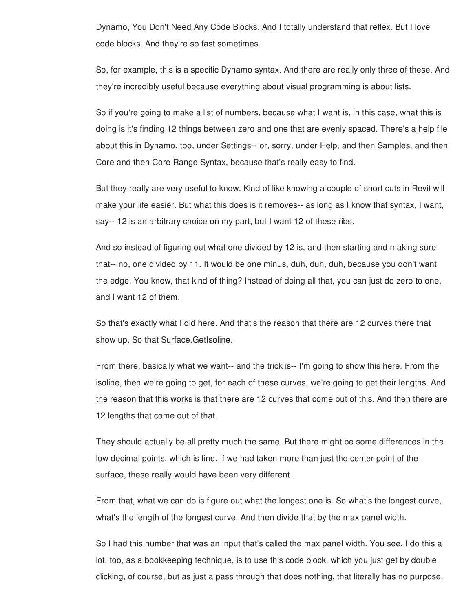Dynamo, You Don't Need Any Code Blocks. And I totally understand that reflex. But I love code blocks. And they're so fast sometimes.

So, for example, this is a specific Dynamo syntax. And there are really only three of these. And they're incredibly useful because everything about visual programming is about lists.

So if you're going to make a list of numbers, because what I want is, in this case, what this is doing is it's finding 12 things between zero and one that are evenly spaced. There's a help file about this in Dynamo, too, under Settings-- or, sorry, under Help, and then Samples, and then Core and then Core Range Syntax, because that's really easy to find.

But they really are very useful to know. Kind of like knowing a couple of short cuts in Revit will make your life easier. But what this does is it removes-- as long as I know that syntax, I want, say-- 12 is an arbitrary choice on my part, but I want 12 of these ribs.

And so instead of figuring out what one divided by 12 is, and then starting and making sure that-- no, one divided by 11. It would be one minus, duh, duh, duh, because you don't want the edge. You know, that kind of thing? Instead of doing all that, you can just do zero to one, and I want 12 of them.

So that's exactly what I did here. And that's the reason that there are 12 curves there that show up. So that Surface.GetIsoline.

From there, basically what we want-- and the trick is-- I'm going to show this here. From the isoline, then we're going to get, for each of these curves, we're going to get their lengths. And the reason that this works is that there are 12 curves that come out of this. And then there are 12 lengths that come out of that.

They should actually be all pretty much the same. But there might be some differences in the low decimal points, which is fine. If we had taken more than just the center point of the surface, these really would have been very different.

From that, what we can do is figure out what the longest one is. So what's the longest curve, what's the length of the longest curve. And then divide that by the max panel width.

So I had this number that was an input that's called the max panel width. You see, I do this a lot, too, as a bookkeeping technique, is to use this code block, which you just get by double clicking, of course, but as just a pass through that does nothing, that literally has no purpose,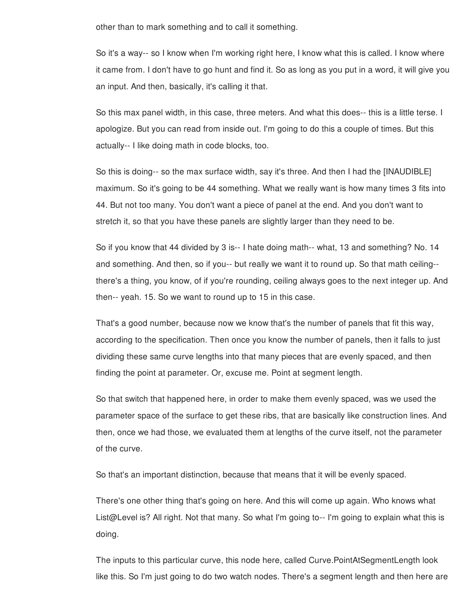other than to mark something and to call it something.

So it's a way-- so I know when I'm working right here, I know what this is called. I know where it came from. I don't have to go hunt and find it. So as long as you put in a word, it will give you an input. And then, basically, it's calling it that.

So this max panel width, in this case, three meters. And what this does-- this is a little terse. I apologize. But you can read from inside out. I'm going to do this a couple of times. But this actually-- I like doing math in code blocks, too.

So this is doing-- so the max surface width, say it's three. And then I had the [INAUDIBLE] maximum. So it's going to be 44 something. What we really want is how many times 3 fits into 44. But not too many. You don't want a piece of panel at the end. And you don't want to stretch it, so that you have these panels are slightly larger than they need to be.

So if you know that 44 divided by 3 is-- I hate doing math-- what, 13 and something? No. 14 and something. And then, so if you-- but really we want it to round up. So that math ceiling- there's a thing, you know, of if you're rounding, ceiling always goes to the next integer up. And then-- yeah. 15. So we want to round up to 15 in this case.

That's a good number, because now we know that's the number of panels that fit this way, according to the specification. Then once you know the number of panels, then it falls to just dividing these same curve lengths into that many pieces that are evenly spaced, and then finding the point at parameter. Or, excuse me. Point at segment length.

So that switch that happened here, in order to make them evenly spaced, was we used the parameter space of the surface to get these ribs, that are basically like construction lines. And then, once we had those, we evaluated them at lengths of the curve itself, not the parameter of the curve.

So that's an important distinction, because that means that it will be evenly spaced.

There's one other thing that's going on here. And this will come up again. Who knows what List@Level is? All right. Not that many. So what I'm going to-- I'm going to explain what this is doing.

The inputs to this particular curve, this node here, called Curve.PointAtSegmentLength look like this. So I'm just going to do two watch nodes. There's a segment length and then here are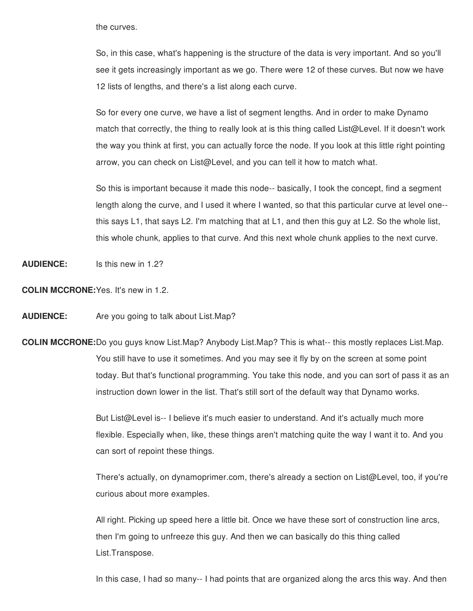the curves.

So, in this case, what's happening is the structure of the data is very important. And so you'll see it gets increasingly important as we go. There were 12 of these curves. But now we have 12 lists of lengths, and there's a list along each curve.

So for every one curve, we have a list of segment lengths. And in order to make Dynamo match that correctly, the thing to really look at is this thing called List@Level. If it doesn't work the way you think at first, you can actually force the node. If you look at this little right pointing arrow, you can check on List@Level, and you can tell it how to match what.

So this is important because it made this node-- basically, I took the concept, find a segment length along the curve, and I used it where I wanted, so that this particular curve at level one- this says L1, that says L2. I'm matching that at L1, and then this guy at L2. So the whole list, this whole chunk, applies to that curve. And this next whole chunk applies to the next curve.

**AUDIENCE:** Is this new in 1.2?

**COLIN MCCRONE:**Yes. It's new in 1.2.

**AUDIENCE:** Are you going to talk about List.Map?

**COLIN MCCRONE:**Do you guys know List.Map? Anybody List.Map? This is what-- this mostly replaces List.Map. You still have to use it sometimes. And you may see it fly by on the screen at some point today. But that's functional programming. You take this node, and you can sort of pass it as an instruction down lower in the list. That's still sort of the default way that Dynamo works.

> But List@Level is-- I believe it's much easier to understand. And it's actually much more flexible. Especially when, like, these things aren't matching quite the way I want it to. And you can sort of repoint these things.

There's actually, on dynamoprimer.com, there's already a section on List@Level, too, if you're curious about more examples.

All right. Picking up speed here a little bit. Once we have these sort of construction line arcs, then I'm going to unfreeze this guy. And then we can basically do this thing called List.Transpose.

In this case, I had so many-- I had points that are organized along the arcs this way. And then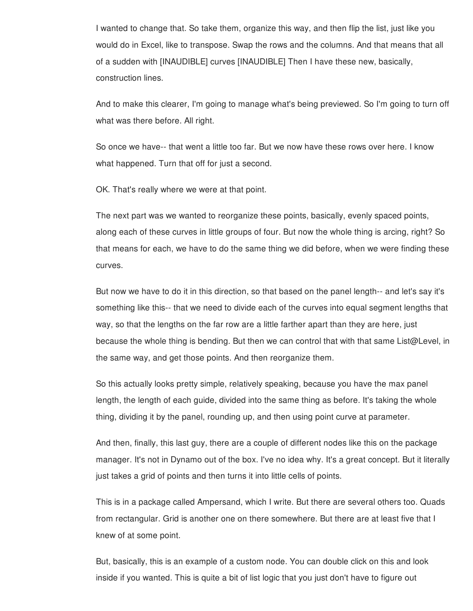I wanted to change that. So take them, organize this way, and then flip the list, just like you would do in Excel, like to transpose. Swap the rows and the columns. And that means that all of a sudden with [INAUDIBLE] curves [INAUDIBLE] Then I have these new, basically, construction lines.

And to make this clearer, I'm going to manage what's being previewed. So I'm going to turn off what was there before. All right.

So once we have-- that went a little too far. But we now have these rows over here. I know what happened. Turn that off for just a second.

OK. That's really where we were at that point.

The next part was we wanted to reorganize these points, basically, evenly spaced points, along each of these curves in little groups of four. But now the whole thing is arcing, right? So that means for each, we have to do the same thing we did before, when we were finding these curves.

But now we have to do it in this direction, so that based on the panel length-- and let's say it's something like this-- that we need to divide each of the curves into equal segment lengths that way, so that the lengths on the far row are a little farther apart than they are here, just because the whole thing is bending. But then we can control that with that same List@Level, in the same way, and get those points. And then reorganize them.

So this actually looks pretty simple, relatively speaking, because you have the max panel length, the length of each guide, divided into the same thing as before. It's taking the whole thing, dividing it by the panel, rounding up, and then using point curve at parameter.

And then, finally, this last guy, there are a couple of different nodes like this on the package manager. It's not in Dynamo out of the box. I've no idea why. It's a great concept. But it literally just takes a grid of points and then turns it into little cells of points.

This is in a package called Ampersand, which I write. But there are several others too. Quads from rectangular. Grid is another one on there somewhere. But there are at least five that I knew of at some point.

But, basically, this is an example of a custom node. You can double click on this and look inside if you wanted. This is quite a bit of list logic that you just don't have to figure out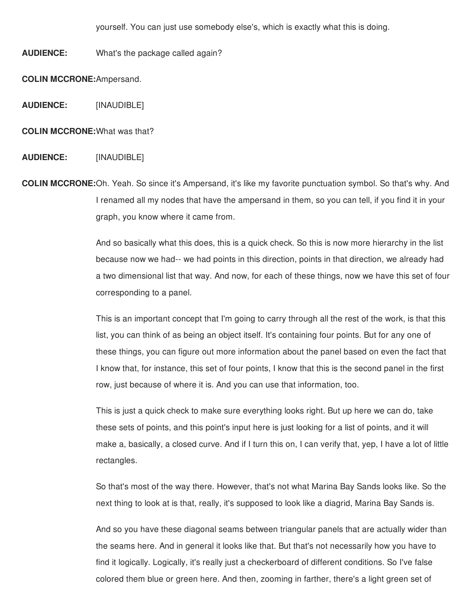yourself. You can just use somebody else's, which is exactly what this is doing.

**AUDIENCE:** What's the package called again?

**COLIN MCCRONE:**Ampersand.

**AUDIENCE:** [INAUDIBLE]

**COLIN MCCRONE:**What was that?

## **AUDIENCE:** [INAUDIBLE]

**COLIN MCCRONE:**Oh. Yeah. So since it's Ampersand, it's like my favorite punctuation symbol. So that's why. And I renamed all my nodes that have the ampersand in them, so you can tell, if you find it in your graph, you know where it came from.

> And so basically what this does, this is a quick check. So this is now more hierarchy in the list because now we had-- we had points in this direction, points in that direction, we already had a two dimensional list that way. And now, for each of these things, now we have this set of four corresponding to a panel.

> This is an important concept that I'm going to carry through all the rest of the work, is that this list, you can think of as being an object itself. It's containing four points. But for any one of these things, you can figure out more information about the panel based on even the fact that I know that, for instance, this set of four points, I know that this is the second panel in the first row, just because of where it is. And you can use that information, too.

> This is just a quick check to make sure everything looks right. But up here we can do, take these sets of points, and this point's input here is just looking for a list of points, and it will make a, basically, a closed curve. And if I turn this on, I can verify that, yep, I have a lot of little rectangles.

> So that's most of the way there. However, that's not what Marina Bay Sands looks like. So the next thing to look at is that, really, it's supposed to look like a diagrid, Marina Bay Sands is.

> And so you have these diagonal seams between triangular panels that are actually wider than the seams here. And in general it looks like that. But that's not necessarily how you have to find it logically. Logically, it's really just a checkerboard of different conditions. So I've false colored them blue or green here. And then, zooming in farther, there's a light green set of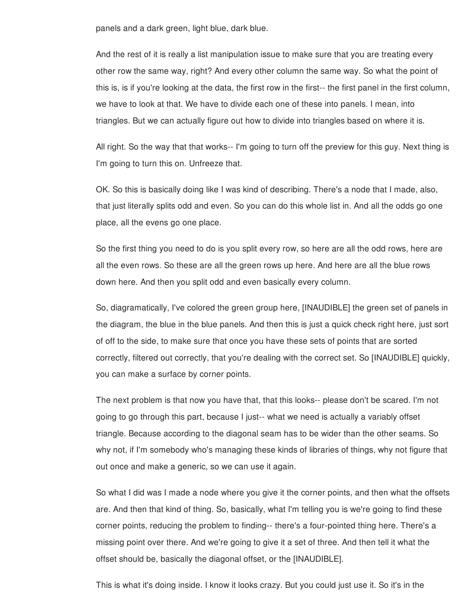panels and a dark green, light blue, dark blue.

And the rest of it is really a list manipulation issue to make sure that you are treating every other row the same way, right? And every other column the same way. So what the point of this is, is if you're looking at the data, the first row in the first-- the first panel in the first column, we have to look at that. We have to divide each one of these into panels. I mean, into triangles. But we can actually figure out how to divide into triangles based on where it is.

All right. So the way that that works-- I'm going to turn off the preview for this guy. Next thing is I'm going to turn this on. Unfreeze that.

OK. So this is basically doing like I was kind of describing. There's a node that I made, also, that just literally splits odd and even. So you can do this whole list in. And all the odds go one place, all the evens go one place.

So the first thing you need to do is you split every row, so here are all the odd rows, here are all the even rows. So these are all the green rows up here. And here are all the blue rows down here. And then you split odd and even basically every column.

So, diagramatically, I've colored the green group here, [INAUDIBLE] the green set of panels in the diagram, the blue in the blue panels. And then this is just a quick check right here, just sort of off to the side, to make sure that once you have these sets of points that are sorted correctly, filtered out correctly, that you're dealing with the correct set. So [INAUDIBLE] quickly, you can make a surface by corner points.

The next problem is that now you have that, that this looks-- please don't be scared. I'm not going to go through this part, because I just-- what we need is actually a variably offset triangle. Because according to the diagonal seam has to be wider than the other seams. So why not, if I'm somebody who's managing these kinds of libraries of things, why not figure that out once and make a generic, so we can use it again.

So what I did was I made a node where you give it the corner points, and then what the offsets are. And then that kind of thing. So, basically, what I'm telling you is we're going to find these corner points, reducing the problem to finding-- there's a four-pointed thing here. There's a missing point over there. And we're going to give it a set of three. And then tell it what the offset should be, basically the diagonal offset, or the [INAUDIBLE].

This is what it's doing inside. I know it looks crazy. But you could just use it. So it's in the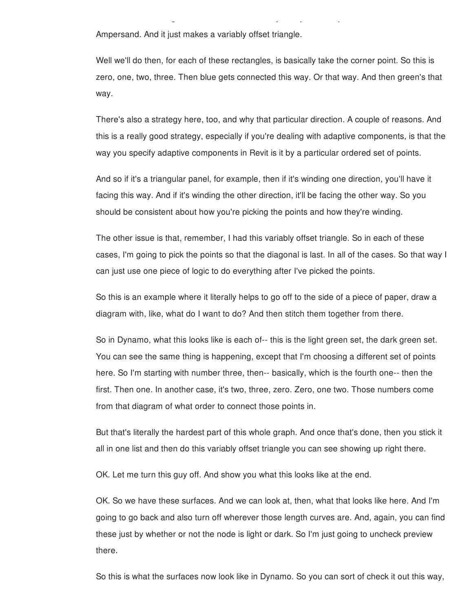Ampersand. And it just makes a variably offset triangle.

Well we'll do then, for each of these rectangles, is basically take the corner point. So this is zero, one, two, three. Then blue gets connected this way. Or that way. And then green's that way.

This is what it's doing inside. I know it looks crazy. But you could just use it. So it's in the

There's also a strategy here, too, and why that particular direction. A couple of reasons. And this is a really good strategy, especially if you're dealing with adaptive components, is that the way you specify adaptive components in Revit is it by a particular ordered set of points.

And so if it's a triangular panel, for example, then if it's winding one direction, you'll have it facing this way. And if it's winding the other direction, it'll be facing the other way. So you should be consistent about how you're picking the points and how they're winding.

The other issue is that, remember, I had this variably offset triangle. So in each of these cases, I'm going to pick the points so that the diagonal is last. In all of the cases. So that way I can just use one piece of logic to do everything after I've picked the points.

So this is an example where it literally helps to go off to the side of a piece of paper, draw a diagram with, like, what do I want to do? And then stitch them together from there.

So in Dynamo, what this looks like is each of-- this is the light green set, the dark green set. You can see the same thing is happening, except that I'm choosing a different set of points here. So I'm starting with number three, then-- basically, which is the fourth one-- then the first. Then one. In another case, it's two, three, zero. Zero, one two. Those numbers come from that diagram of what order to connect those points in.

But that's literally the hardest part of this whole graph. And once that's done, then you stick it all in one list and then do this variably offset triangle you can see showing up right there.

OK. Let me turn this guy off. And show you what this looks like at the end.

OK. So we have these surfaces. And we can look at, then, what that looks like here. And I'm going to go back and also turn off wherever those length curves are. And, again, you can find these just by whether or not the node is light or dark. So I'm just going to uncheck preview there.

So this is what the surfaces now look like in Dynamo. So you can sort of check it out this way,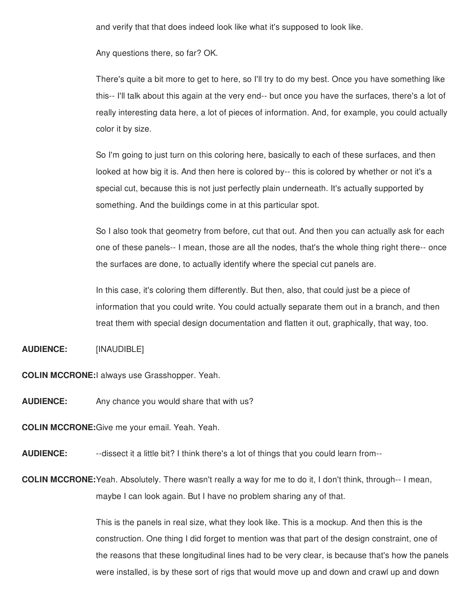and verify that that does indeed look like what it's supposed to look like.

Any questions there, so far? OK.

There's quite a bit more to get to here, so I'll try to do my best. Once you have something like this-- I'll talk about this again at the very end-- but once you have the surfaces, there's a lot of really interesting data here, a lot of pieces of information. And, for example, you could actually color it by size.

So I'm going to just turn on this coloring here, basically to each of these surfaces, and then looked at how big it is. And then here is colored by-- this is colored by whether or not it's a special cut, because this is not just perfectly plain underneath. It's actually supported by something. And the buildings come in at this particular spot.

So I also took that geometry from before, cut that out. And then you can actually ask for each one of these panels-- I mean, those are all the nodes, that's the whole thing right there-- once the surfaces are done, to actually identify where the special cut panels are.

In this case, it's coloring them differently. But then, also, that could just be a piece of information that you could write. You could actually separate them out in a branch, and then treat them with special design documentation and flatten it out, graphically, that way, too.

**AUDIENCE:** [INAUDIBLE]

**COLIN MCCRONE:**I always use Grasshopper. Yeah.

**AUDIENCE:** Any chance you would share that with us?

**COLIN MCCRONE:**Give me your email. Yeah. Yeah.

**AUDIENCE:** --dissect it a little bit? I think there's a lot of things that you could learn from--

**COLIN MCCRONE:**Yeah. Absolutely. There wasn't really a way for me to do it, I don't think, through-- I mean, maybe I can look again. But I have no problem sharing any of that.

> This is the panels in real size, what they look like. This is a mockup. And then this is the construction. One thing I did forget to mention was that part of the design constraint, one of the reasons that these longitudinal lines had to be very clear, is because that's how the panels were installed, is by these sort of rigs that would move up and down and crawl up and down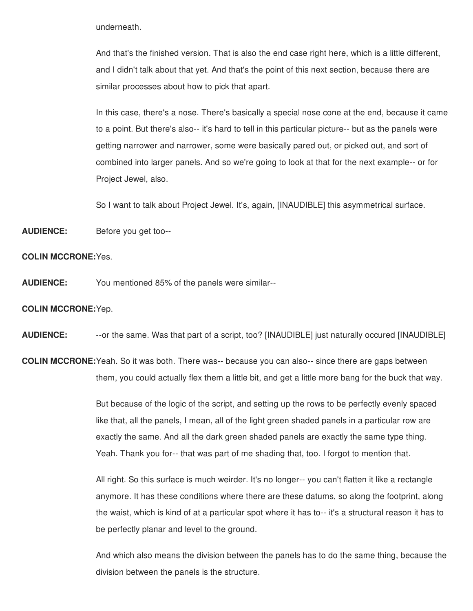underneath.

And that's the finished version. That is also the end case right here, which is a little different, and I didn't talk about that yet. And that's the point of this next section, because there are similar processes about how to pick that apart.

In this case, there's a nose. There's basically a special nose cone at the end, because it came to a point. But there's also-- it's hard to tell in this particular picture-- but as the panels were getting narrower and narrower, some were basically pared out, or picked out, and sort of combined into larger panels. And so we're going to look at that for the next example-- or for Project Jewel, also.

So I want to talk about Project Jewel. It's, again, [INAUDIBLE] this asymmetrical surface.

**AUDIENCE:** Before you get too--

## **COLIN MCCRONE:**Yes.

**AUDIENCE:** You mentioned 85% of the panels were similar--

## **COLIN MCCRONE:**Yep.

**AUDIENCE:** --or the same. Was that part of a script, too? [INAUDIBLE] just naturally occured [INAUDIBLE]

**COLIN MCCRONE:**Yeah. So it was both. There was-- because you can also-- since there are gaps between them, you could actually flex them a little bit, and get a little more bang for the buck that way.

> But because of the logic of the script, and setting up the rows to be perfectly evenly spaced like that, all the panels, I mean, all of the light green shaded panels in a particular row are exactly the same. And all the dark green shaded panels are exactly the same type thing. Yeah. Thank you for-- that was part of me shading that, too. I forgot to mention that.

All right. So this surface is much weirder. It's no longer-- you can't flatten it like a rectangle anymore. It has these conditions where there are these datums, so along the footprint, along the waist, which is kind of at a particular spot where it has to-- it's a structural reason it has to be perfectly planar and level to the ground.

And which also means the division between the panels has to do the same thing, because the division between the panels is the structure.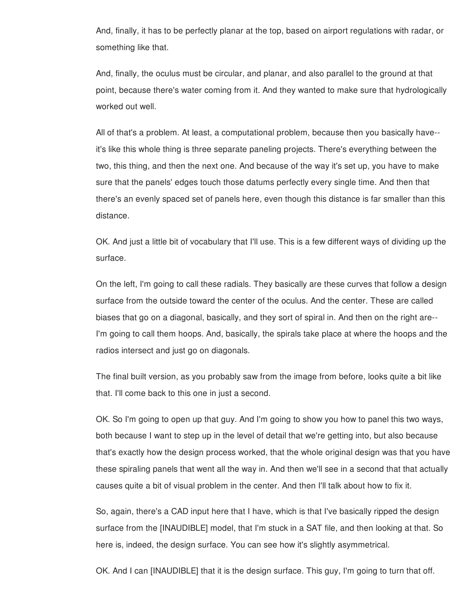And, finally, it has to be perfectly planar at the top, based on airport regulations with radar, or something like that.

And, finally, the oculus must be circular, and planar, and also parallel to the ground at that point, because there's water coming from it. And they wanted to make sure that hydrologically worked out well.

All of that's a problem. At least, a computational problem, because then you basically have- it's like this whole thing is three separate paneling projects. There's everything between the two, this thing, and then the next one. And because of the way it's set up, you have to make sure that the panels' edges touch those datums perfectly every single time. And then that there's an evenly spaced set of panels here, even though this distance is far smaller than this distance.

OK. And just a little bit of vocabulary that I'll use. This is a few different ways of dividing up the surface.

On the left, I'm going to call these radials. They basically are these curves that follow a design surface from the outside toward the center of the oculus. And the center. These are called biases that go on a diagonal, basically, and they sort of spiral in. And then on the right are-- I'm going to call them hoops. And, basically, the spirals take place at where the hoops and the radios intersect and just go on diagonals.

The final built version, as you probably saw from the image from before, looks quite a bit like that. I'll come back to this one in just a second.

OK. So I'm going to open up that guy. And I'm going to show you how to panel this two ways, both because I want to step up in the level of detail that we're getting into, but also because that's exactly how the design process worked, that the whole original design was that you have these spiraling panels that went all the way in. And then we'll see in a second that that actually causes quite a bit of visual problem in the center. And then I'll talk about how to fix it.

So, again, there's a CAD input here that I have, which is that I've basically ripped the design surface from the [INAUDIBLE] model, that I'm stuck in a SAT file, and then looking at that. So here is, indeed, the design surface. You can see how it's slightly asymmetrical.

OK. And I can [INAUDIBLE] that it is the design surface. This guy, I'm going to turn that off.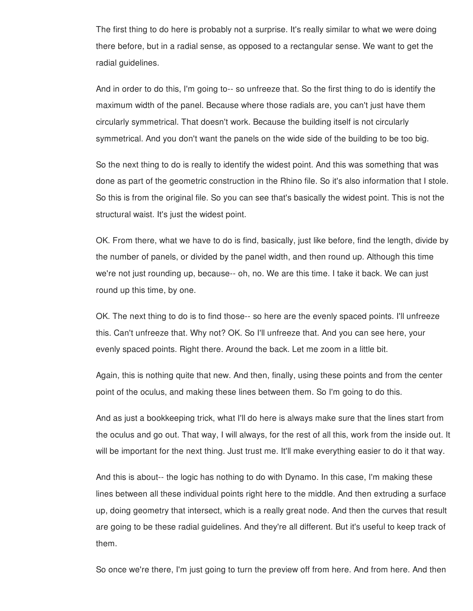The first thing to do here is probably not a surprise. It's really similar to what we were doing there before, but in a radial sense, as opposed to a rectangular sense. We want to get the radial guidelines.

And in order to do this, I'm going to-- so unfreeze that. So the first thing to do is identify the maximum width of the panel. Because where those radials are, you can't just have them circularly symmetrical. That doesn't work. Because the building itself is not circularly symmetrical. And you don't want the panels on the wide side of the building to be too big.

So the next thing to do is really to identify the widest point. And this was something that was done as part of the geometric construction in the Rhino file. So it's also information that I stole. So this is from the original file. So you can see that's basically the widest point. This is not the structural waist. It's just the widest point.

OK. From there, what we have to do is find, basically, just like before, find the length, divide by the number of panels, or divided by the panel width, and then round up. Although this time we're not just rounding up, because-- oh, no. We are this time. I take it back. We can just round up this time, by one.

OK. The next thing to do is to find those-- so here are the evenly spaced points. I'll unfreeze this. Can't unfreeze that. Why not? OK. So I'll unfreeze that. And you can see here, your evenly spaced points. Right there. Around the back. Let me zoom in a little bit.

Again, this is nothing quite that new. And then, finally, using these points and from the center point of the oculus, and making these lines between them. So I'm going to do this.

And as just a bookkeeping trick, what I'll do here is always make sure that the lines start from the oculus and go out. That way, I will always, for the rest of all this, work from the inside out. It will be important for the next thing. Just trust me. It'll make everything easier to do it that way.

And this is about-- the logic has nothing to do with Dynamo. In this case, I'm making these lines between all these individual points right here to the middle. And then extruding a surface up, doing geometry that intersect, which is a really great node. And then the curves that result are going to be these radial guidelines. And they're all different. But it's useful to keep track of them.

So once we're there, I'm just going to turn the preview off from here. And from here. And then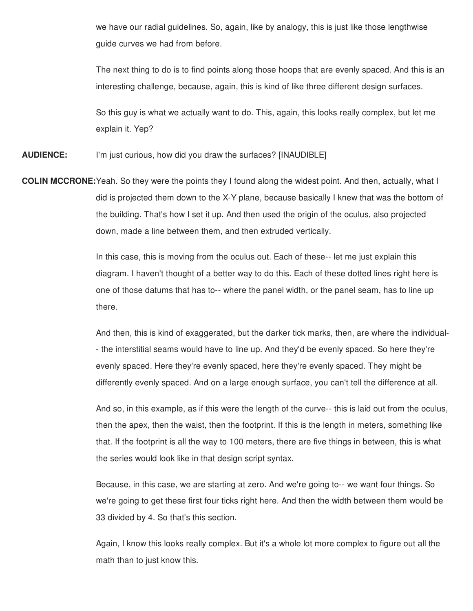we have our radial guidelines. So, again, like by analogy, this is just like those lengthwise guide curves we had from before.

The next thing to do is to find points along those hoops that are evenly spaced. And this is an interesting challenge, because, again, this is kind of like three different design surfaces.

So this guy is what we actually want to do. This, again, this looks really complex, but let me explain it. Yep?

**AUDIENCE:** I'm just curious, how did you draw the surfaces? [INAUDIBLE]

**COLIN MCCRONE:**Yeah. So they were the points they I found along the widest point. And then, actually, what I did is projected them down to the X-Y plane, because basically I knew that was the bottom of the building. That's how I set it up. And then used the origin of the oculus, also projected down, made a line between them, and then extruded vertically.

> In this case, this is moving from the oculus out. Each of these-- let me just explain this diagram. I haven't thought of a better way to do this. Each of these dotted lines right here is one of those datums that has to-- where the panel width, or the panel seam, has to line up there.

And then, this is kind of exaggerated, but the darker tick marks, then, are where the individual- - the interstitial seams would have to line up. And they'd be evenly spaced. So here they're evenly spaced. Here they're evenly spaced, here they're evenly spaced. They might be differently evenly spaced. And on a large enough surface, you can't tell the difference at all.

And so, in this example, as if this were the length of the curve-- this is laid out from the oculus, then the apex, then the waist, then the footprint. If this is the length in meters, something like that. If the footprint is all the way to 100 meters, there are five things in between, this is what the series would look like in that design script syntax.

Because, in this case, we are starting at zero. And we're going to-- we want four things. So we're going to get these first four ticks right here. And then the width between them would be 33 divided by 4. So that's this section.

Again, I know this looks really complex. But it's a whole lot more complex to figure out all the math than to just know this.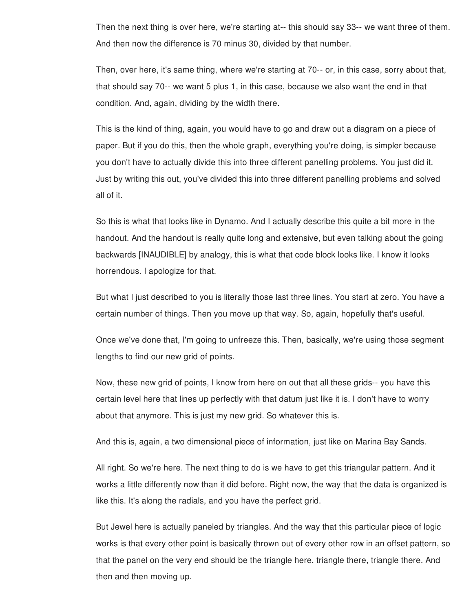Then the next thing is over here, we're starting at-- this should say 33-- we want three of them. And then now the difference is 70 minus 30, divided by that number.

Then, over here, it's same thing, where we're starting at 70-- or, in this case, sorry about that, that should say 70-- we want 5 plus 1, in this case, because we also want the end in that condition. And, again, dividing by the width there.

This is the kind of thing, again, you would have to go and draw out a diagram on a piece of paper. But if you do this, then the whole graph, everything you're doing, is simpler because you don't have to actually divide this into three different panelling problems. You just did it. Just by writing this out, you've divided this into three different panelling problems and solved all of it.

So this is what that looks like in Dynamo. And I actually describe this quite a bit more in the handout. And the handout is really quite long and extensive, but even talking about the going backwards [INAUDIBLE] by analogy, this is what that code block looks like. I know it looks horrendous. I apologize for that.

But what I just described to you is literally those last three lines. You start at zero. You have a certain number of things. Then you move up that way. So, again, hopefully that's useful.

Once we've done that, I'm going to unfreeze this. Then, basically, we're using those segment lengths to find our new grid of points.

Now, these new grid of points, I know from here on out that all these grids-- you have this certain level here that lines up perfectly with that datum just like it is. I don't have to worry about that anymore. This is just my new grid. So whatever this is.

And this is, again, a two dimensional piece of information, just like on Marina Bay Sands.

All right. So we're here. The next thing to do is we have to get this triangular pattern. And it works a little differently now than it did before. Right now, the way that the data is organized is like this. It's along the radials, and you have the perfect grid.

But Jewel here is actually paneled by triangles. And the way that this particular piece of logic works is that every other point is basically thrown out of every other row in an offset pattern, so that the panel on the very end should be the triangle here, triangle there, triangle there. And then and then moving up.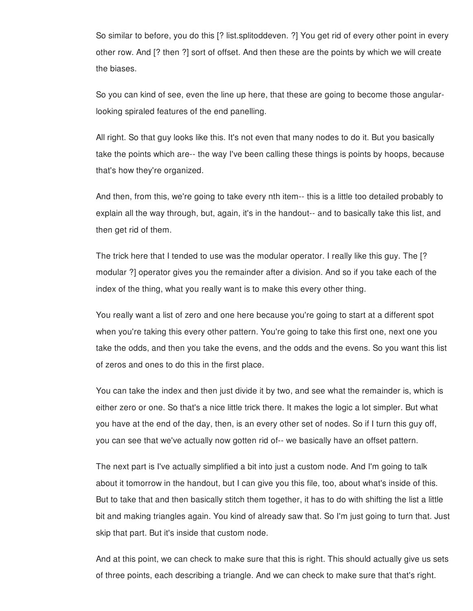So similar to before, you do this [? list.splitoddeven. ?] You get rid of every other point in every other row. And [? then ?] sort of offset. And then these are the points by which we will create the biases.

So you can kind of see, even the line up here, that these are going to become those angularlooking spiraled features of the end panelling.

All right. So that guy looks like this. It's not even that many nodes to do it. But you basically take the points which are-- the way I've been calling these things is points by hoops, because that's how they're organized.

And then, from this, we're going to take every nth item-- this is a little too detailed probably to explain all the way through, but, again, it's in the handout-- and to basically take this list, and then get rid of them.

The trick here that I tended to use was the modular operator. I really like this guy. The [? modular ?] operator gives you the remainder after a division. And so if you take each of the index of the thing, what you really want is to make this every other thing.

You really want a list of zero and one here because you're going to start at a different spot when you're taking this every other pattern. You're going to take this first one, next one you take the odds, and then you take the evens, and the odds and the evens. So you want this list of zeros and ones to do this in the first place.

You can take the index and then just divide it by two, and see what the remainder is, which is either zero or one. So that's a nice little trick there. It makes the logic a lot simpler. But what you have at the end of the day, then, is an every other set of nodes. So if I turn this guy off, you can see that we've actually now gotten rid of-- we basically have an offset pattern.

The next part is I've actually simplified a bit into just a custom node. And I'm going to talk about it tomorrow in the handout, but I can give you this file, too, about what's inside of this. But to take that and then basically stitch them together, it has to do with shifting the list a little bit and making triangles again. You kind of already saw that. So I'm just going to turn that. Just skip that part. But it's inside that custom node.

And at this point, we can check to make sure that this is right. This should actually give us sets of three points, each describing a triangle. And we can check to make sure that that's right.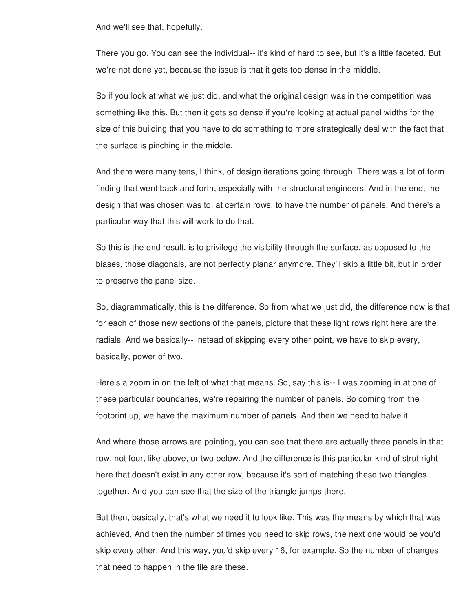And we'll see that, hopefully.

There you go. You can see the individual-- it's kind of hard to see, but it's a little faceted. But we're not done yet, because the issue is that it gets too dense in the middle.

So if you look at what we just did, and what the original design was in the competition was something like this. But then it gets so dense if you're looking at actual panel widths for the size of this building that you have to do something to more strategically deal with the fact that the surface is pinching in the middle.

And there were many tens, I think, of design iterations going through. There was a lot of form finding that went back and forth, especially with the structural engineers. And in the end, the design that was chosen was to, at certain rows, to have the number of panels. And there's a particular way that this will work to do that.

So this is the end result, is to privilege the visibility through the surface, as opposed to the biases, those diagonals, are not perfectly planar anymore. They'll skip a little bit, but in order to preserve the panel size.

So, diagrammatically, this is the difference. So from what we just did, the difference now is that for each of those new sections of the panels, picture that these light rows right here are the radials. And we basically-- instead of skipping every other point, we have to skip every, basically, power of two.

Here's a zoom in on the left of what that means. So, say this is-- I was zooming in at one of these particular boundaries, we're repairing the number of panels. So coming from the footprint up, we have the maximum number of panels. And then we need to halve it.

And where those arrows are pointing, you can see that there are actually three panels in that row, not four, like above, or two below. And the difference is this particular kind of strut right here that doesn't exist in any other row, because it's sort of matching these two triangles together. And you can see that the size of the triangle jumps there.

But then, basically, that's what we need it to look like. This was the means by which that was achieved. And then the number of times you need to skip rows, the next one would be you'd skip every other. And this way, you'd skip every 16, for example. So the number of changes that need to happen in the file are these.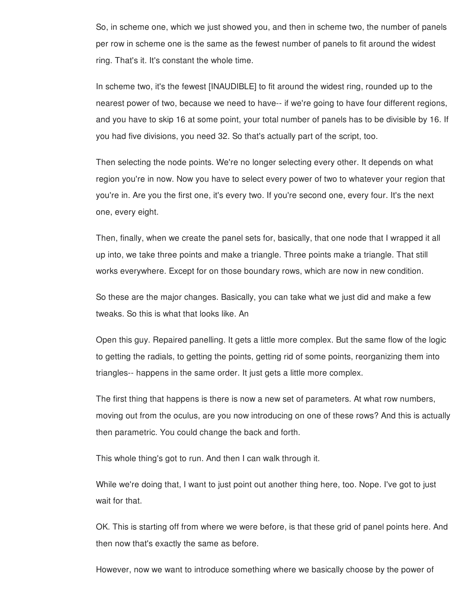So, in scheme one, which we just showed you, and then in scheme two, the number of panels per row in scheme one is the same as the fewest number of panels to fit around the widest ring. That's it. It's constant the whole time.

In scheme two, it's the fewest [INAUDIBLE] to fit around the widest ring, rounded up to the nearest power of two, because we need to have-- if we're going to have four different regions, and you have to skip 16 at some point, your total number of panels has to be divisible by 16. If you had five divisions, you need 32. So that's actually part of the script, too.

Then selecting the node points. We're no longer selecting every other. It depends on what region you're in now. Now you have to select every power of two to whatever your region that you're in. Are you the first one, it's every two. If you're second one, every four. It's the next one, every eight.

Then, finally, when we create the panel sets for, basically, that one node that I wrapped it all up into, we take three points and make a triangle. Three points make a triangle. That still works everywhere. Except for on those boundary rows, which are now in new condition.

So these are the major changes. Basically, you can take what we just did and make a few tweaks. So this is what that looks like. An

Open this guy. Repaired panelling. It gets a little more complex. But the same flow of the logic to getting the radials, to getting the points, getting rid of some points, reorganizing them into triangles-- happens in the same order. It just gets a little more complex.

The first thing that happens is there is now a new set of parameters. At what row numbers, moving out from the oculus, are you now introducing on one of these rows? And this is actually then parametric. You could change the back and forth.

This whole thing's got to run. And then I can walk through it.

While we're doing that, I want to just point out another thing here, too. Nope. I've got to just wait for that.

OK. This is starting off from where we were before, is that these grid of panel points here. And then now that's exactly the same as before.

However, now we want to introduce something where we basically choose by the power of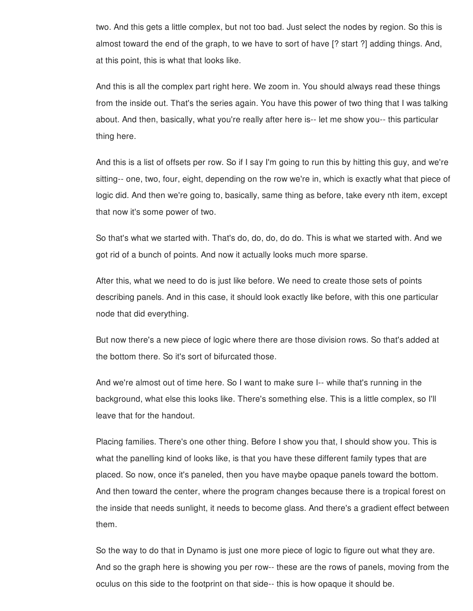two. And this gets a little complex, but not too bad. Just select the nodes by region. So this is almost toward the end of the graph, to we have to sort of have [? start ?] adding things. And, at this point, this is what that looks like.

And this is all the complex part right here. We zoom in. You should always read these things from the inside out. That's the series again. You have this power of two thing that I was talking about. And then, basically, what you're really after here is-- let me show you-- this particular thing here.

And this is a list of offsets per row. So if I say I'm going to run this by hitting this guy, and we're sitting-- one, two, four, eight, depending on the row we're in, which is exactly what that piece of logic did. And then we're going to, basically, same thing as before, take every nth item, except that now it's some power of two.

So that's what we started with. That's do, do, do, do do. This is what we started with. And we got rid of a bunch of points. And now it actually looks much more sparse.

After this, what we need to do is just like before. We need to create those sets of points describing panels. And in this case, it should look exactly like before, with this one particular node that did everything.

But now there's a new piece of logic where there are those division rows. So that's added at the bottom there. So it's sort of bifurcated those.

And we're almost out of time here. So I want to make sure I-- while that's running in the background, what else this looks like. There's something else. This is a little complex, so I'll leave that for the handout.

Placing families. There's one other thing. Before I show you that, I should show you. This is what the panelling kind of looks like, is that you have these different family types that are placed. So now, once it's paneled, then you have maybe opaque panels toward the bottom. And then toward the center, where the program changes because there is a tropical forest on the inside that needs sunlight, it needs to become glass. And there's a gradient effect between them.

So the way to do that in Dynamo is just one more piece of logic to figure out what they are. And so the graph here is showing you per row-- these are the rows of panels, moving from the oculus on this side to the footprint on that side-- this is how opaque it should be.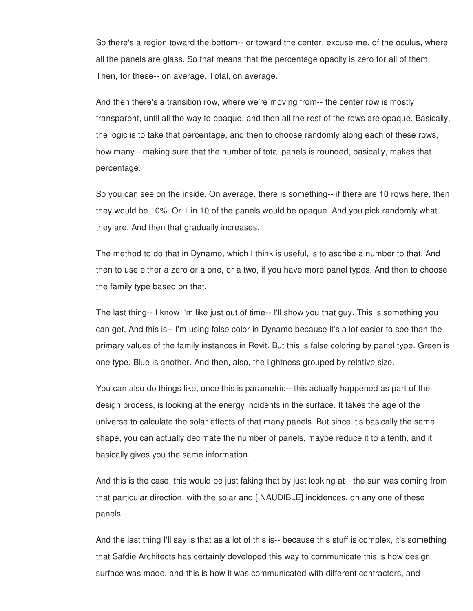So there's a region toward the bottom-- or toward the center, excuse me, of the oculus, where all the panels are glass. So that means that the percentage opacity is zero for all of them. Then, for these-- on average. Total, on average.

And then there's a transition row, where we're moving from-- the center row is mostly transparent, until all the way to opaque, and then all the rest of the rows are opaque. Basically, the logic is to take that percentage, and then to choose randomly along each of these rows, how many-- making sure that the number of total panels is rounded, basically, makes that percentage.

So you can see on the inside. On average, there is something-- if there are 10 rows here, then they would be 10%. Or 1 in 10 of the panels would be opaque. And you pick randomly what they are. And then that gradually increases.

The method to do that in Dynamo, which I think is useful, is to ascribe a number to that. And then to use either a zero or a one, or a two, if you have more panel types. And then to choose the family type based on that.

The last thing-- I know I'm like just out of time-- I'll show you that guy. This is something you can get. And this is-- I'm using false color in Dynamo because it's a lot easier to see than the primary values of the family instances in Revit. But this is false coloring by panel type. Green is one type. Blue is another. And then, also, the lightness grouped by relative size.

You can also do things like, once this is parametric-- this actually happened as part of the design process, is looking at the energy incidents in the surface. It takes the age of the universe to calculate the solar effects of that many panels. But since it's basically the same shape, you can actually decimate the number of panels, maybe reduce it to a tenth, and it basically gives you the same information.

And this is the case, this would be just faking that by just looking at-- the sun was coming from that particular direction, with the solar and [INAUDIBLE] incidences, on any one of these panels.

And the last thing I'll say is that as a lot of this is-- because this stuff is complex, it's something that Safdie Architects has certainly developed this way to communicate this is how design surface was made, and this is how it was communicated with different contractors, and